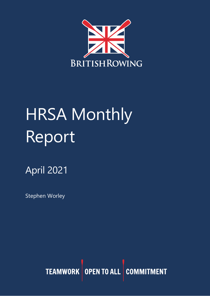

# **HRSA Monthly** Report

## April 2021

Stephen Worley

TEAMWORK OPEN TO ALL COMMITMENT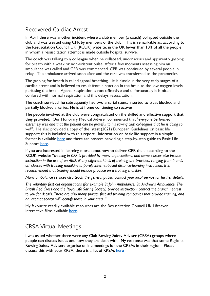#### Recovered Cardiac Arrest

In April there was another incident where a club member (a coach) collapsed outside the club and was treated using CPR by members of the club. This is remarkable as, according to the Resuscitation Council UK (RCUK) website, in the UK fewer than 10% of all the people in whom a resuscitation attempt is made outside hospital survive.

The coach was talking to a colleague when he collapsed, unconscious and apparently gasping for breath with a weak or non-existent pulse. After a few moments assessing him an ambulance was called and CPR was commenced. CPR was continued by several people in relay. The ambulance arrived soon after and the care was transferred to the paramedics.

The gasping for breath is called agonal breathing – it is classic in the very early stages of a cardiac arrest and is believed to result from a reaction in the brain to the low oxygen levels perfusing the brain. Agonal respiration is **not effective** and unfortunately it is often confused with normal respiration and this delays resuscitation.

The coach survived, he subsequently had two arterial stents inserted to treat blocked and partially blocked arteries. He is at home continuing to recover.

The people involved at the club were congratulated on the skilled and effective support that they provided. Our Honorary Medical Adviser commented that "*everyone performed* extremely well and that the patient can be grateful to his rowing club colleagues that he is doing so *well*". He also provided a copy of the latest (2021) European Guidelines on basic life support; this is included with this report. Information on basic life support in a simple format is available [here](https://cprguidelines.eu/) and there are posters providing a step-by-step guide to Basic Life Support here.

If you are interested in learning more about how to deliver CPR then, according to the RCUK website "*training in CPR is provided by many organisations, and some classes also include instruction in the use of an AED. Many different kinds of training are provided, ranging from 'handson' classes with training manikins to purely internet-based distance-learning instruction. It is recommended that training should include practice on a training manikin.*

*Many ambulance services also teach the general public: contact your local service for further details.*

*The voluntary first aid organisations (for example St John Ambulance, St. Andrew's Ambulance, The British Red Cross and the Royal Life Saving Society) provide instruction; contact the branch nearest to you for details. There are also many private first aid training companies that provide training, and an internet search will identify those in your area*. "

My favourite readily available resources are the Resuscitation Council UK Lifesaver Interactive films available [here.](https://life-saver.org.uk/)

#### CRSA Virtual Meetings

I was asked whether there were any Club Rowing Safety Adviser (CRSA) groups where people can discuss issues and how they are dealt with. My response was that some Regional Rowing Safety Advisers organise online meetings for the CRSAs in their region. Please discuss this with your RRSA, there is a list of RRSAs [here](https://www.britishrowing.org/knowledge/safety/rowing-safety-contacts/)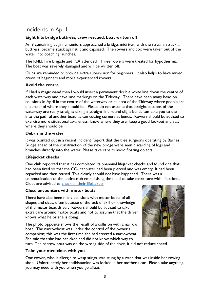## Incidents in April

#### **Eight hits bridge buttress, crew rescued, boat written off**

An 8 containing beginner seniors approached a bridge, midriver, with the stream, struck a buttress, became stuck against it and capsized. The rowers and cox were taken out of the water into coaching launches.

The RNLI, Fire Brigade and PLA attended. Three rowers were treated for hypothermia. The boat was severely damaged and will be written off.

Clubs are reminded to provide extra supervision for beginners. It also helps to have mixed crews of beginners and more experienced rowers.

#### **Avoid the centre**

If I had a magic wand then I would insert a permanent double white line down the centre of each waterway and have lane markings on the Tideway. There have been many head on collisions in April in the centre of the waterway or an area of the Tideway where people are uncertain of where they should be. Please do not assume that straight sections of the waterway are really straight; taking a straight line round slight bends can take you to the into the path of another boat, as can cutting corners at bends. Rowers should be advised to exercise more situational awareness, know where they are, keep a good lookout and stay where they should be.

#### **Debris in the water**

It was pointed out in a recent Incident Report that the tree surgeons operating by Barnes Bridge ahead of the construction of the new bridge were seen discarding of logs and branches directly into the water. Please take care to avoid floating objects.

#### **Lifejacket checks**

One club reported that it has completed its bi-annual lifejacket checks and found one that had been fired so that the  $CO<sub>2</sub>$  cannister had been pierced and was empty. It had been repacked and then reused. This clearly should not have happened. There was a communication to the entire club emphasising the need to take extra care with lifejackets. Clubs are advised to [check all their lifejackets.](https://www.britishrowing.org/wp-content/uploads/2015/09/Safety-Alert-check-your-lifejacket.pdf)

#### **Close encounters with motor boats**

There have also been many collisions with motor boats of all shapes and sizes, often because of the lack of skill or knowledge of the motor boat driver. Rowers should be advised to take extra care around motor boats and not to assume that the driver knows what he or she is doing.

The photo opposite shows the result of a collision with a narrow boat. The narrowboat was under the control of the owner's companion; this was the first time she had steered a narrowboat. She said that she had panicked and did not know which way to



turn. The narrow boat was on the wrong side of the river, it did not reduce speed.

#### **Take your medicines with you**

One rower, who is allergic to wasp stings, was stung by a wasp that was inside her rowing shoe. Unfortunately her antihistamine was locked in her mother's car. Please take anything you may need with you when you go afloat.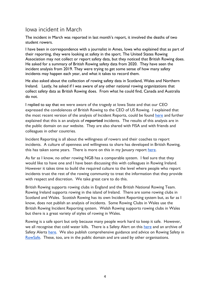## Iowa incident in March

The incident in March was reported in last month's report, it involved the deaths of two student rowers.

I have been in correspondence with a journalist in Ames, Iowa who explained that as part of their reporting, they were looking at safety in the sport. The United States Rowing Association may not collect or report safety data, but they noticed that British Rowing does. He asked for a summary of British Rowing safety data from 2020. They have seen the incident analysis from 2019. They were trying to get some sense of how many safety incidents may happen each year, and what it takes to record them.

He also asked about the collection of rowing safety data in Scotland, Wales and Northern Ireland. Lastly, he asked if I was aware of any other national rowing organizations that collect safety data as British Rowing does. From what he could find, Canada and Australia do not.

I replied to say that we were aware of the tragedy at Iowa State and that our CEO expressed the condolences of British Rowing to the CEO of US Rowing. I explained that the most recent version of the analysis of Incident Reports, could be found [here](https://www.britishrowing.org/wp-content/uploads/2021/01/2020-Incident-Analysis.pdf) and further explained that this is an analysis of **reported** incidents. The results of this analysis are in the public domain on our website. They are also shared with FISA and with friends and colleagues in other countries.

Incident Reporting is all about the willingness of rowers and their coaches to report incidents. A culture of openness and willingness to share has developed in British Rowing, this has taken some years. There is more on this in my January report [here.](https://www.britishrowing.org/wp-content/uploads/2021/02/HRSA-Monthly-Report-January-2021.pdf)

As far as I know, no other rowing NGB has a comparable system. I feel sure that they would like to have one and I have been discussing this with colleagues in Rowing Ireland. However it takes time to build the required culture to the level where people who report incidents trust the rest of the rowing community to treat the information that they provide with respect and discretion. We take great care to do this.

British Rowing supports rowing clubs in England and the British National Rowing Team. Rowing Ireland supports rowing in the island of Ireland. There are some rowing clubs in Scotland and Wales. Scottish Rowing has its own Incident Reporting system but, as far as I know, does not publish an analysis of incidents. Some Rowing Clubs in Wales use the British Rowing Incident Reporting system. Welsh Rowing supports rowing clubs in Wales but there is a great variety of styles of rowing in Wales.

Rowing is a safe sport but only because many people work hard to keep it safe. However, we all recognise that cold water kills. T[here](https://www.britishrowing.org/wp-content/uploads/2021/02/HRSA-Monthly-Report-January-2021.pdf) is a Safety Alert on this here and an archive of Safety Alerts [here.](https://www.britishrowing.org/knowledge/safety/safety-alert-archive/) We also publish comprehensive guidance and advice on Rowing Safety in [RowSafe.](https://www.britishrowing.org/about-us/policies-guidance/rowsafe/) These, too, are in the public domain and are used by other organisations.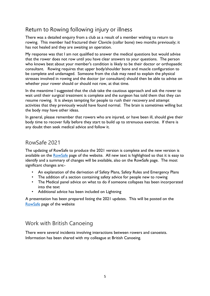## Return to Rowing following injury or illness

There was a detailed enquiry from a club as a result of a member wishing to return to rowing. This member had fractured their Clavicle (collar bone) two months previously; it has not healed and they are awaiting an operation.

My response was that I am not qualified to answer the medical questions but would advise that the rower does not row until you have clear answers to your questions. The person who knows best about your member's condition is likely to be their doctor or orthopaedic consultant. Rowing requires that upper body/shoulder bone and muscle configuration to be complete and undamaged. Someone from the club may need to explain the physical stresses involved in rowing and the doctor (or consultant) should then be able to advise on whether your rower should or should not row, at that time.

In the meantime I suggested that the club take the cautious approach and ask the rower to wait until their surgical treatment is complete and the surgeon has told them that they can resume rowing. It is always tempting for people to rush their recovery and attempt activities that they previously would have found normal. The brain is sometimes willing but the body may have other ideas.

In general, please remember that rowers who are injured, or have been ill, should give their body time to recover fully before they start to build up to strenuous exercise. If there is any doubt then seek medical advice and follow it.

#### RowSafe 2021

The updating of RowSafe to produce the 2021 version is complete and the new version is available on the [RowSafe](https://www.britishrowing.org/about-us/policies-guidance/rowsafe/) page of the website. All new text is highlighted so that it is easy to identify and a summary of changes will be available, also on the RowSafe page. The most significant changes are:-

- An explanation of the derivation of Safety Plans, Safety Rules and Emergency Plans
- The addition of a section containing safety advice for people new to rowing
- The Medical panel advice on what to do if someone collapses has been incorporated into the text
- Additional advice has been included on Lightning

A presentation has been prepared listing the 2021 updates. This will be posted on the [RowSafe](https://www.britishrowing.org/about-us/policies-guidance/rowsafe/) page of the website

#### Work with British Canoeing

There were several incidents involving interactions between rowers and canoeists. Information has been shared with my colleague at British Canoeing.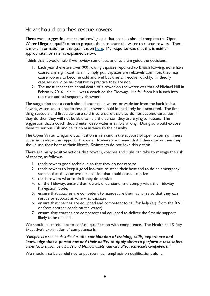#### How should coaches rescue rowers

There was a suggestion at a school rowing club that coaches should complete the Open Water Lifeguard qualification to prepare them to enter the water to rescue rowers. There is more information on this qualification [here.](https://www.rlss.org.uk/open-water-lifeguard-qualifications) My response was that this is neither appropriate nor safe, as explained below.

I think that it would help if we review some facts and let them guide the decisions.

- 1. Each year there are over 900 rowing capsizes reported to British Rowing, none have caused any significant harm. Simply put, capsizes are relatively common, they may cause rowers to become cold and wet but they all recover quickly. In theory capsizes could be harmful but in practice they are not.
- 2. The most recent accidental death of a rower on the water was that of Michael Hill in February 2016. Mr Hill was a coach on the Tideway. He fell from his launch into the river and subsequently drowned.

The suggestion that a coach should enter deep water, or wade far from the bank in fast flowing water, to attempt to rescue a rower should immediately be discounted. The first thing rescuers and first aiders are told is to ensure that they do not become casualties; if they do then they will not be able to help the person they are trying to rescue. The suggestion that a coach should enter deep water is simply wrong. Doing so would expose them to serious risk and be of no assistance to the casualty.

The Open Water Lifeguard qualification is relevant in the support of open water swimmers but is not relevant in support of rowers. Rowers are trained that if they capsize then they should use their boat as their liferaft. Swimmers do not have this option.

There are many positive actions that rowers, coaches and clubs can take to manage the risk of capsize, as follows:-

- 1. teach rowers good technique so that they do not capsize
- 2. teach rowers to keep a good lookout, to steer their boat and to do an emergency stop so that they can avoid a collision that could cause a capsize
- 3. teach rowers what to do if they do capsize
- 4. on the Tideway, ensure that rowers understand, and comply with, the Tideway Navigation Code.
- 5. ensure that coaches are competent to manoeuvre their launches so that they can rescue or support anyone who capsizes
- 6. ensure that coaches are equipped and competent to call for help (e.g. from the RNLI or from another coach on the water)
- 7. ensure that coaches are competent and equipped to deliver the first aid support likely to be needed.

We should be careful not to confuse qualification with competence. The Health and Safety Executive's explanation of competence is:-

*"Competence can be described as the combination of training, skills, experience and knowledge that a person has and their ability to apply them to perform a task safely. Other factors, such as attitude and physical ability, can also affect someone's competence. "*

We should also be careful not to put too much emphasis on qualifications alone.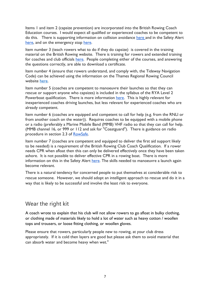Items 1 and item 2 (capsize prevention) are incorporated into the British Rowing Coach Education courses. I would expect all qualified or experienced coaches to be competent to do this. T[here](https://www.britishrowing.org/knowledge/safety/) is supporting information on collision avoidance here and in the Safety Alert [here,](https://www.britishrowing.org/wp-content/uploads/2017/09/Safety-Alert-collision-avoidance.pdf) and on the emergency stop [here.](https://www.youtube.com/watch?v=3RBfI-O_AUo)

Item number 3 (teach rowers what to do if they do capsize) is covered in the training material on the British Rowing website. There is training for rowers and extended training for coaches and club officials [here.](https://www.rowhow.org/course/view.php?id=195) People completing either of the courses, and answering the questions correctly, are able to download a certificate.

Item number 4 (ensure that rowers understand, and comply with, the Tideway Navigation Code) can be achieved using the information on the Thames Regional Rowing Council website [here.](https://www.thames-rrc.co.uk/navigation)

Item number 5 (coaches are competent to manoeuvre their launches so that they can rescue or support anyone who capsizes) is included in the syllabus of the RYA Level 2 Powerboat qualification. There is more information [here.](https://www.rya.org.uk/courses-training/courses/powerboat/Pages/level-2.aspx) This is highly relevant for inexperienced coaches driving launches, but less relevant for experienced coaches who are already competent.

Item number 6 (coaches are equipped and competent to call for help (e.g. from the RNLI or from another coach on the water)). Requires coaches to be equipped with a mobile phone or a radio (preferably a Marine Mobile Band (MMB) VHF radio so that they can call for help. (MMB channel 16, or 999 or 112 and ask for "Coastguard"). There is guidance on radio procedure in section 2.3 of [RowSafe.](https://www.britishrowing.org/about-us/policies-guidance/rowsafe/)

Item number 7 (coaches are competent and equipped to deliver the first aid support likely to be needed) is a requirement of the British Rowing Club Coach Qualification. If a rower needs CPR when afloat then this can only be delivered effectively once they have been taken ashore. It is not possible to deliver effective CPR in a rowing boat. There is more information on this in the Safety Alert [here.](https://www.britishrowing.org/wp-content/uploads/2019/02/Safety-Alert-What-to-do-if-a-rower-collapses-in-a-boat.pdf) The skills needed to manoeuvre a launch again become relevant.

There is a natural tendency for concerned people to put themselves at considerable risk to rescue someone. However, we should adopt an intelligent approach to rescue and do it in a way that is likely to be successful and involve the least risk to everyone.

#### Wear the right kit

A coach wrote to explain that his club will not allow rowers to go afloat in bulky clothing, or clothing made of materials likely to hold a lot of water such as heavy cotton / woollen tops and trousers, or loose fitting clothing, or woollen gloves.

Please ensure that rowers, particularly people new to rowing, at your club dress appropriately. If it is cold then layers are good but please ask them to avoid material that can absorb water and become heavy when wet."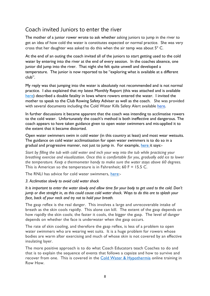## Coach invited Juniors to enter the river

The mother of a junior rower wrote to ask whether asking juniors to jump in the river to get an idea of how cold the water is constitutes expected or normal practice. She was very cross that her daughter was asked to do this when the air temp was about 5º C.

At the end of an outing the coach invited all of the juniors to start getting used to the cold water by entering into the river at the end of every session. In the coaches absence, one junior did jump into the river. That night she felt quite unwell and developed a temperature. The junior is now reported to be "exploring what is available at a different club".

My reply was that jumping into the water is absolutely not recommended and is not normal practice. I also explained that my latest Monthly Report (this was attached and is available [here\)](https://emea01.safelinks.protection.outlook.com/?url=https%3A%2F%2Fwww.britishrowing.org%2Fknowledge%2Fsafety%2Fhrsa-monthly-report-archive%2F&data=04%7C01%7C%7C14ac275f442a45f0b4b908d90594673e%7C84df9e7fe9f640afb435aaaaaaaaaaaa%7C1%7C0%7C637546957208197530%7CUnknown%7CTWFpbGZsb3d8eyJWIjoiMC4wLjAwMDAiLCJQIjoiV2luMzIiLCJBTiI6Ik1haWwiLCJXVCI6Mn0%3D%7C1000&sdata=v3DPNux39zGO1Iw1FRrQKPk1EjDsa2RQxYqdnx57Wnw%3D&reserved=0) described a double fatality in lowa where rowers entered the water. I invited the mother to speak to the Club Rowing Safety Adviser as well as the coach. She was provided with several documents including the Cold Water Kills Safety Alert available [here.](https://www.britishrowing.org/wp-content/uploads/2015/09/Safety-Alert-Cold-Water-Kills-1.pdf)

In further discussions it became apparent that the coach was intending to acclimatise rowers to the cold water. Unfortunately the coach's method is both ineffective and dangerous. The coach appears to have taken guidance given to open water swimmers and mis-applied it to the extent that it became distorted.

Open water swimmers swim in cold water (in this country at least) and most wear wetsuits. The guidance on cold water acclimatisation for open water swimmers is to do so in a gradual and progressive manner, not just to jump in. For example, [here](https://www.active.com/triathlon/articles/how-to-acclimate-to-cold-water-swims) it says:-

*Start by filling the tub with cold water and inch your way into the tub while practicing your breathing exercise and visualization. Once this is comfortable for you, gradually add ice to lower the temperature. Keep a thermometer handy to make sure the water stays above 60 degrees.* This is American so the temperature is in Fahrenheit; 60 F = 15.5 C.

The RNLI has advice for cold water swimmers, [here:](https://outdoorswimmer.com/blogs/open-water-safety-tips-from-the-rnli)-

*3. Acclimatise slowly to avoid cold water shock*

It is important to enter the water slowly and allow time for your body to get used to the cold. Don't jump or dive straight in, as this could cause cold water shock. Ways to do this are to splash your *face, back of your neck and try not to hold your breath.*

The gasp reflex is the real danger. This involves a large and unrecoverable intake of breath as the skin cools rapidly. This alone can kill. The extent of the gasp depends on how rapidly the skin cools; the faster it cools, the bigger the gasp. The level of danger depends on whether the face is underwater when the gasp occurs.

The rate of skin cooling, and therefore the gasp reflex, is less of a problem to open water swimmers who are wearing wet suits. It is a huge problem for rowers whose bodies are warm after exercising and much of whose skin is not covered by an effective insulating layer.

The more positive approach is to do what Coach Educators teach Coaches to do and that is to explain the sequence of events that follows a capsize and how to survive and recover from one. This is covered in the [Cold Water & Hypothermia](https://www.rowhow.org/course/view.php?id=165) online training in Row How.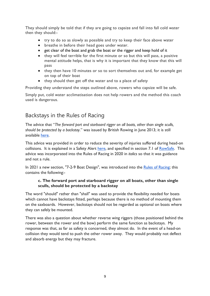They should simply be told that if they are going to capsize and fall into fall cold water then they should:-

- try to do so as slowly as possible and try to keep their face above water
- breathe in before their head goes under water.
- get clear of the boat and grab the boat or the rigger and keep hold of it
- they will feel terrible for the first minute or so but this will pass, a positive mental attitude helps, that is why it is important that they know that this will pass
- they then have 10 minutes or so to sort themselves out and, for example get on top of their boat
- they should then get off the water and to a place of safety

Providing they understand the steps outlined above, rowers who capsize will be safe.

Simply put, cold water acclimatisation does not help rowers and the method this coach used is dangerous.

#### Backstays in the Rules of Racing

The advice that "*The forward port and starboard rigger on all boats, other than single sculls, should be protected by a backstay*." was issued by British Rowing in June 2013; it is still available [here.](https://www.britishrowing.org/2013/06/a-safety-update-for-rowers-and-coaches/)

This advice was provided in order to reduce the severity of injuries suffered during head-on collisions. It is explained in a Safety Alert [here,](https://www.britishrowing.org/wp-content/uploads/2019/04/Safety-Alert-Backstays-.pdf) and specified in section 7.1 of [RowSafe.](https://www.britishrowing.org/about-us/policies-guidance/rowsafe/) This advice was incorporated into the Rules of Racing in 2020 in *italics* so that it was guidance and not a rule.

In 2021 a new section, "7-2-9 Boat Design", was introduced into the Rules of [Racing;](https://www.britishrowing.org/wp-content/uploads/2021/03/2021-RoR-210310.pdf) this contains the following:-

#### **c. The forward port and starboard rigger on all boats, other than single sculls, should be protected by a backstay**

The word "should" rather than "shall" was used to provide the flexibility needed for boats which cannot have backstays fitted, perhaps because there is no method of mounting them on the saxboards. However, backstays should not be regarded as optional on boats where they can safely be mounted.

There was also a question about whether reverse wing riggers (those positioned behind the rower, between the rower and the bow) perform the same function as backstays. My response was that, as far as safety is concerned, they almost do. In the event of a head-on collision they would tend to push the other rower away. They would probably not deflect and absorb energy but they may fracture.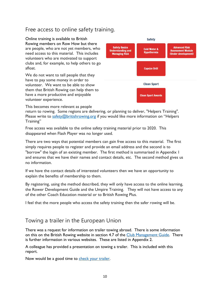## Free access to online safety training.

Online training is available to British Rowing members on Row How but there are people, who are not yet members, who need access to this material. This includes volunteers who are motivated to support clubs and, for example, to help others to go afloat.

We do not want to tell people that they have to pay some money in order to volunteer. We want to be able to show them that British Rowing can help them to have a more productive and enjoyable volunteer experience.



This becomes more relevant as people

return to rowing. Some regions are delivering, or planning to deliver, "Helpers Training". Please write to  $\frac{\text{safety}}{Q}$ britishrowing.org if you would like more information on "Helpers" Training"

Free access was available to the online safety training material prior to 2020. This disappeared when Flash Player was no longer used.

There are two ways that potential members can gain free access to this material. The first simply requires people to register and provide an email address and the second is to "borrow" the login of an existing member. The first method is summarised in Appendix 1 and ensures that we have their names and contact details, etc. The second method gives us no information.

If we have the contact details of interested volunteers then we have an opportunity to explain the benefits of membership to them.

By registering, using the method described, they will only have access to the online learning, the Rower Development Guide and the Umpire Training. They will not have access to any of the other Coach Education material or to British Rowing Plus.

I feel that the more people who access the safety training then the safer rowing will be.

#### Towing a trailer in the European Union

There was a request for information on trailer towing abroad. There is some information on this on the British Rowing website in section 4.7 of the [Club Management Guide.](https://www.britishrowing.org/wp-content/uploads/2021/03/British_Rowing_Club_Management_Guide_115pp_v5WEB_72ppi.pdf) There is further information in various websites. These are listed in Appendix 2.

A colleague has provided a presentation on towing a trailer. This is included with this report.

Now would be a good time to [check your trailer.](https://www.britishrowing.org/wp-content/uploads/2019/04/Safety-Alert-check-your-trailer.pdf)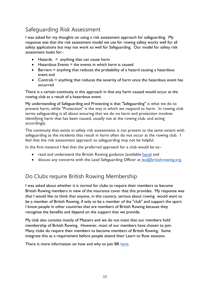## Safeguarding Risk Assessment

I was asked for my thoughts on using a risk assessment approach for safeguarding. My response was that the risk assessment model we use for rowing safety works well for all safety applications but may not work so well for Safeguarding. Our model for safety risk assessment looks for:-

- Hazards.  $=$  anything that can cause harm
- $\bullet$  Hazardous Events = the events in which harm is caused
- Barriers = anything that reduces the probability of a hazard causing a hazardous event and
- Controls = anything that reduces the severity of harm once the hazardous event has occurred

There is a certain continuity in this approach in that any harm caused would occur at the rowing club as a result of a hazardous event.

My understanding of Safeguarding and Protecting is that "Safeguarding" is what we do to prevent harm, while "Protection" is the way in which we respond to harm. In rowing club terms safeguarding is all about ensuring that we do no harm and protection involves identifying harm that has been caused, usually not at the rowing club, and acting accordingly.

The continuity that exists in safety risk assessments is not present to the same extent with safeguarding as the incidents that result in harm often do not occur at the rowing club. I feel that the risk assessment approach to safeguarding may not be helpful.

In the first instance I feel that the preferred approach for a club would be to:-

- read and understand the British Rowing guidance (available [here\)](https://www.britishrowing.org/knowledge/safeguarding/) and
- $\bullet$  discuss any concerns with the Lead Safeguarding Officer at  $\text{Iso}(\mathcal{Q})$  britishrowing.org.

## Do Clubs require British Rowing Membership

I was asked about whether it is normal for clubs to require their members to become British Rowing members in view of the insurance cover that this provides. My response was that I would like to think that anyone, in this country, serious about rowing would want to be a member of British Rowing, if only to be a member of the "club" and support the sport. I know people in other countries that are members of British Rowing because they recognise the benefits and depend on the support that we provide.

My club also consists mostly of Masters and we do not insist that our members hold membership of British Rowing. However, most of our members have chosen to join. Many clubs do require their members to become members of British Rowing. Some integrate this as a requirement before people attend their Learn to Row sessions.

There is more information on how and why to join BR [here.](https://www.britishrowing.org/join/)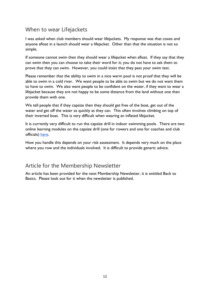## When to wear Lifejackets

I was asked when club members should wear lifejackets. My response was that coxes and anyone afloat in a launch should wear a lifejacket. Other than that the situation is not so simple.

If someone cannot swim then they should wear a lifejacket when afloat. If they say that they can swim then you can choose to take their word for it; you do not have to ask them to prove that they can swim. However, you could insist that they pass your swim test.

Please remember that the ability to swim in a nice warm pool is not proof that they will be able to swim in a cold river. We want people to be able to swim but we do not want them to have to swim. We also want people to be confident on the water, if they want to wear a lifejacket because they are not happy to be some distance from the land without one then provide them with one.

We tell people that if they capsize then they should get free of the boat, get out of the water and get off the water as quickly as they can. This often involves climbing on top of their inverted boat. This is very difficult when wearing an inflated lifejacket.

It is currently very difficult to run the capsize drill in indoor swimming pools. There are two online learning modules on the capsize drill (one for rowers and one for coaches and club officials) [here.](https://www.rowhow.org/mod/page/view.php?id=6650)

How you handle this depends on your risk assessment. It depends very much on the place where you row and the individuals involved. It is difficult to provide generic advice.

#### Article for the Membership Newsletter

An article has been provided for the next Membership Newsletter, it is entitled Back to Basics. Please look out for it when the newsletter is published.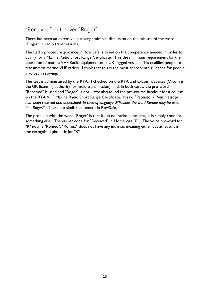## "Received" but never "Roger"

There has been an extensive, but very amicable, discussion on the mis-use of the word "Roger" in radio transmissions.

The Radio procedure guidance in Row Safe is based on the competence needed in order to qualify for a Marine Radio Short Range Certificate. This the minimum requirement for the operation of marine VHF Radio equipment on a UK flagged vessel. This qualifies people to transmit on marine VHF radios. I think that this is the most appropriate guidance for people involved in rowing.

The test is administered by the RYA. I checked on the RYA and Ofcom websites (Ofcom is the UK licensing authority for radio transmission), and, in both cases, the pro-word "Received" is used and "Roger" is not. We also found the pre-course handout for a course on the RYA VHF Marine Radio Short Range Certificate. It says "*Received - Your message has been received and understood. In case of language difficulties the word Romeo may be used (not Roger)*". There is a similar statement in RowSafe.

The problem with the word "Roger" is that it has no intrinsic meaning; it is simply code for something else. The earlier code for "Received" in Morse was "R". The voice proword for "R" now is "Romeo"; "Romeo" does not have any intrinsic meaning either but at least it is the recognised phonetic for "R".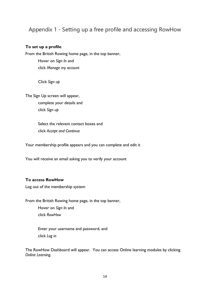#### Appendix 1 - Setting up a free profile and accessing RowHow

#### **To set up a profile**

From the British Rowing home page, in the top banner, Hover on *Sign In* and click *Manage my account*

Click *Sign up*

The Sign Up screen will appear,

complete your details and click *Sign up*

Select the relevant contact boxes and click *Accept and Continue*

Your membership profile appears and you can complete and edit it

You will receive an email asking you to verify your account

#### **To access RowHow**

Log out of the membership system

From the British Rowing home page, in the top banner,

Hover on *Sign In* and click *RowHow*

Enter your username and password, and click *Log in*

The RowHow Dashboard will appear. You can access Online learning modules by clicking *Online Learning.*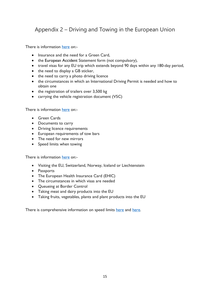## Appendix 2 – Driving and Towing in the European Union

There is information [here](https://www.caravanguard.co.uk/news/brexit-towing-your-caravan-trailer-tent-or-fifth-wheeler-in-europe-19497/) on:-

- Insurance and the need for a Green Card,
- the European Accident Statement form (not compulsory),
- travel visas for any EU trip which extends beyond 90 days within any 180-day period,
- the need to display a GB sticker,
- the need to carry a photo driving licence
- the circumstances in which an International Driving Permit is needed and how to obtain one
- the registration of trailers over 3,500 kg
- carrying the vehicle registration document (V5C)

There is information [here](https://www.admiral.com/magazine/guides/motor/towing-in-the-uk-and-abroad) on:-

- Green Cards
- Documents to carry
- Driving licence requirements
- European requirements of tow bars
- The need for new mirrors
- Speed limits when towing

There is information [here](https://www.gov.uk/visit-eu-switzerland-norway-iceland-liechtenstein) on:-

- Visiting the EU, Switzerland, Norway, Iceland or Liechtenstein
- Passports
- The European Health Insurance Card (EHIC)
- The circumstances in which visas are needed
- Queueing at Border Control
- Taking meat and dairy products into the EU
- Taking fruits, vegetables, plants and plant products into the EU

There is comprehensive information on speed limits [here](https://www.theaa.ie/aa/motoring-advice/driving-in-europe/speed-limit-notes.aspx) and [here.](https://ec.europa.eu/transport/road_safety/going_abroad/austria/speed_limits_en.htm)